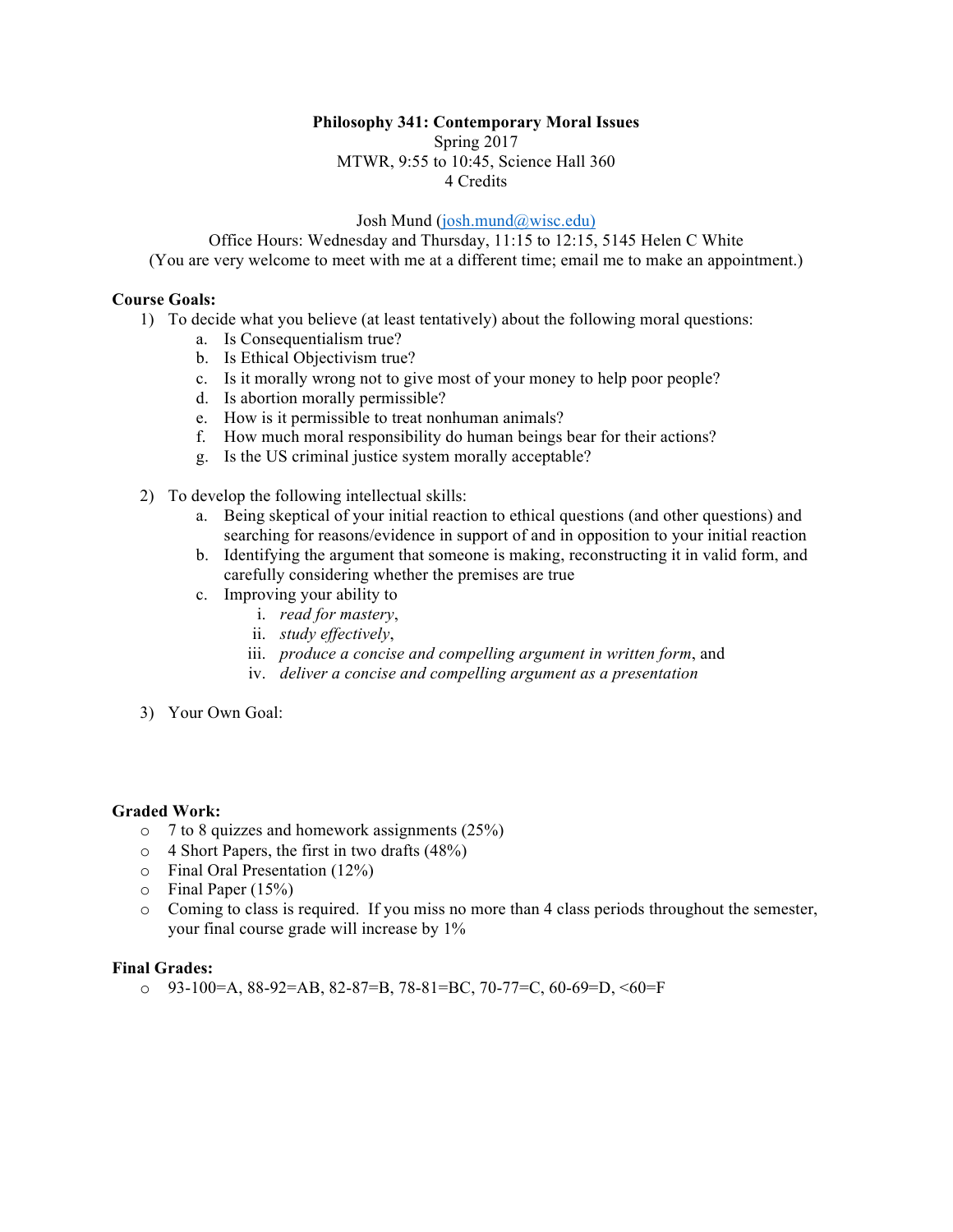## **Philosophy 341: Contemporary Moral Issues**

Spring 2017 MTWR, 9:55 to 10:45, Science Hall 360 4 Credits

Josh Mund (josh.mund@wisc.edu)

Office Hours: Wednesday and Thursday, 11:15 to 12:15, 5145 Helen C White (You are very welcome to meet with me at a different time; email me to make an appointment.)

## **Course Goals:**

- 1) To decide what you believe (at least tentatively) about the following moral questions:
	- a. Is Consequentialism true?
	- b. Is Ethical Objectivism true?
	- c. Is it morally wrong not to give most of your money to help poor people?
	- d. Is abortion morally permissible?
	- e. How is it permissible to treat nonhuman animals?
	- f. How much moral responsibility do human beings bear for their actions?
	- g. Is the US criminal justice system morally acceptable?
- 2) To develop the following intellectual skills:
	- a. Being skeptical of your initial reaction to ethical questions (and other questions) and searching for reasons/evidence in support of and in opposition to your initial reaction
	- b. Identifying the argument that someone is making, reconstructing it in valid form, and carefully considering whether the premises are true
	- c. Improving your ability to
		- i. *read for mastery*,
		- ii. *study effectively*,
		- iii. *produce a concise and compelling argument in written form*, and
		- iv. *deliver a concise and compelling argument as a presentation*
- 3) Your Own Goal:

### **Graded Work:**

- o 7 to 8 quizzes and homework assignments (25%)
- o 4 Short Papers, the first in two drafts (48%)
- o Final Oral Presentation (12%)
- o Final Paper (15%)
- o Coming to class is required. If you miss no more than 4 class periods throughout the semester, your final course grade will increase by 1%

# **Final Grades:**

 $O$  93-100=A, 88-92=AB, 82-87=B, 78-81=BC, 70-77=C, 60-69=D,  $\leq 60$ =F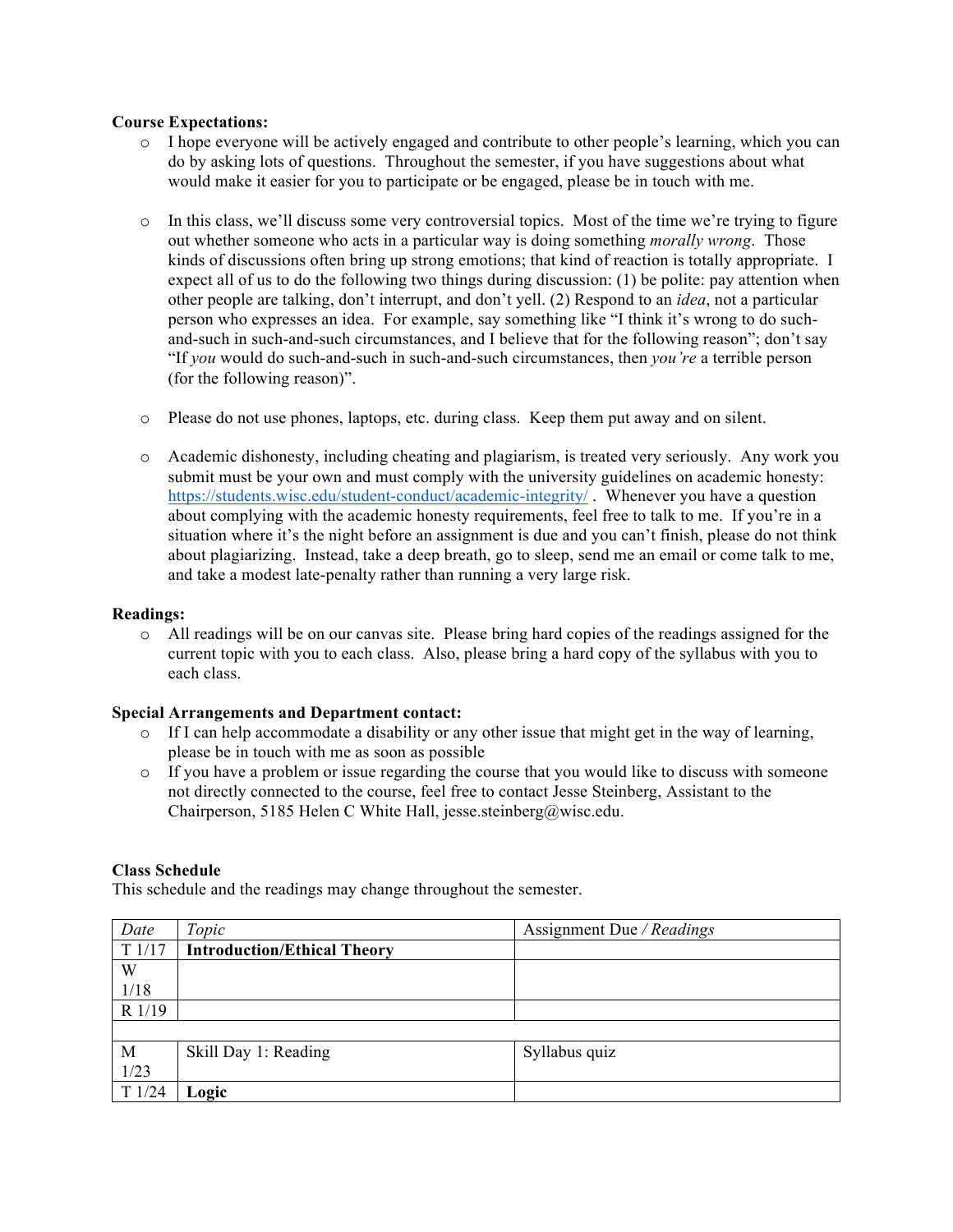## **Course Expectations:**

- o I hope everyone will be actively engaged and contribute to other people's learning, which you can do by asking lots of questions. Throughout the semester, if you have suggestions about what would make it easier for you to participate or be engaged, please be in touch with me.
- $\circ$  In this class, we'll discuss some very controversial topics. Most of the time we're trying to figure out whether someone who acts in a particular way is doing something *morally wrong*. Those kinds of discussions often bring up strong emotions; that kind of reaction is totally appropriate. I expect all of us to do the following two things during discussion: (1) be polite: pay attention when other people are talking, don't interrupt, and don't yell. (2) Respond to an *idea*, not a particular person who expresses an idea. For example, say something like "I think it's wrong to do suchand-such in such-and-such circumstances, and I believe that for the following reason"; don't say "If *you* would do such-and-such in such-and-such circumstances, then *you're* a terrible person (for the following reason)".
- o Please do not use phones, laptops, etc. during class. Keep them put away and on silent.
- o Academic dishonesty, including cheating and plagiarism, is treated very seriously. Any work you submit must be your own and must comply with the university guidelines on academic honesty: https://students.wisc.edu/student-conduct/academic-integrity/ . Whenever you have a question about complying with the academic honesty requirements, feel free to talk to me. If you're in a situation where it's the night before an assignment is due and you can't finish, please do not think about plagiarizing. Instead, take a deep breath, go to sleep, send me an email or come talk to me, and take a modest late-penalty rather than running a very large risk.

### **Readings:**

o All readings will be on our canvas site. Please bring hard copies of the readings assigned for the current topic with you to each class. Also, please bring a hard copy of the syllabus with you to each class.

### **Special Arrangements and Department contact:**

- $\circ$  If I can help accommodate a disability or any other issue that might get in the way of learning, please be in touch with me as soon as possible
- $\circ$  If you have a problem or issue regarding the course that you would like to discuss with someone not directly connected to the course, feel free to contact Jesse Steinberg, Assistant to the Chairperson, 5185 Helen C White Hall, jesse.steinberg@wisc.edu.

### **Class Schedule**

This schedule and the readings may change throughout the semester.

| Date   | Topic                              | Assignment Due / Readings |
|--------|------------------------------------|---------------------------|
| T1/17  | <b>Introduction/Ethical Theory</b> |                           |
| W      |                                    |                           |
| 1/18   |                                    |                           |
| R 1/19 |                                    |                           |
|        |                                    |                           |
| M      | Skill Day 1: Reading               | Syllabus quiz             |
| 1/23   |                                    |                           |
| T1/24  | Logic                              |                           |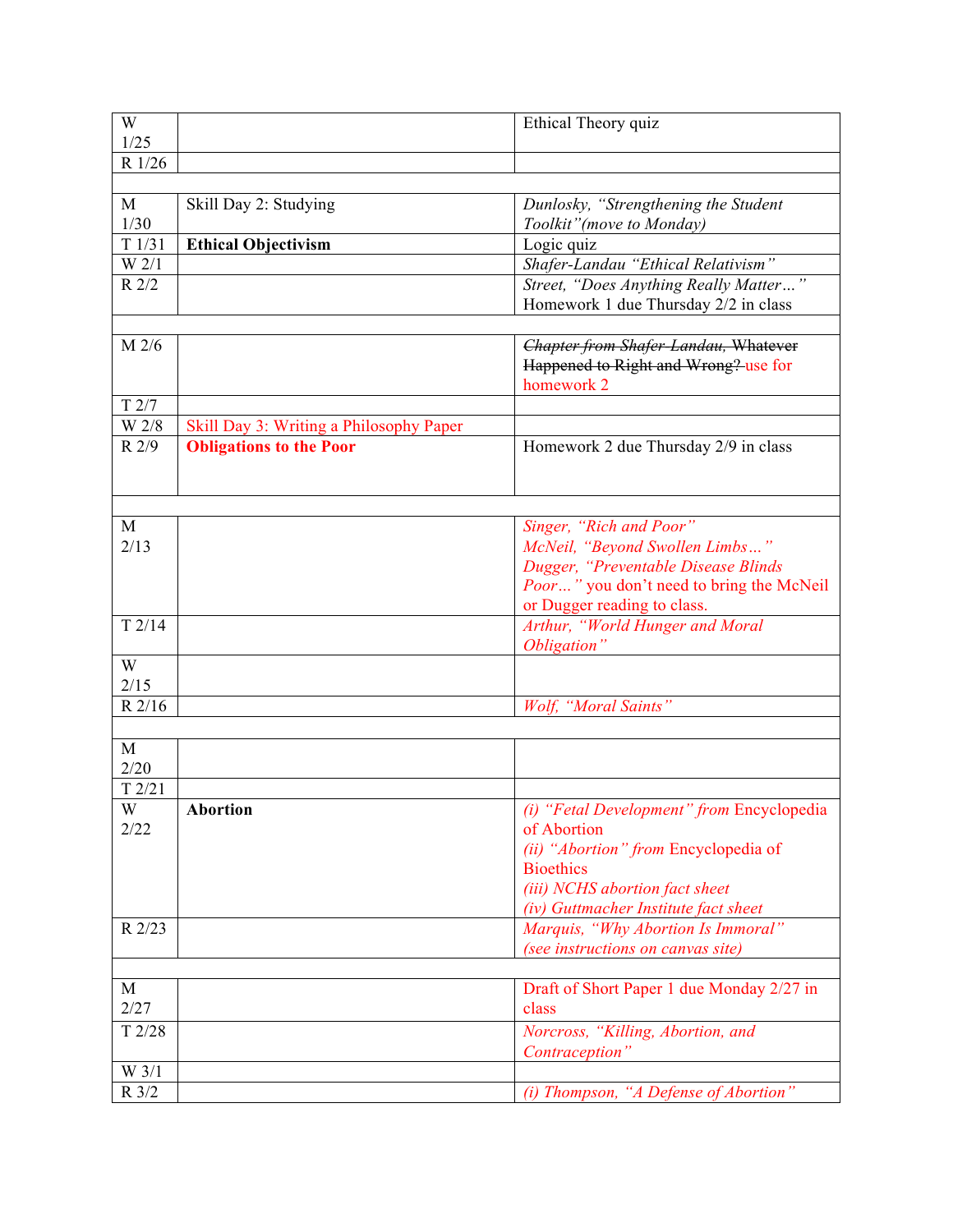| W                  |                                         | Ethical Theory quiz                         |
|--------------------|-----------------------------------------|---------------------------------------------|
| 1/25               |                                         |                                             |
| R 1/26             |                                         |                                             |
|                    |                                         |                                             |
| M                  | Skill Day 2: Studying                   | Dunlosky, "Strengthening the Student        |
| $1/30$             |                                         | Toolkit" (move to Monday)                   |
| $\overline{T1/31}$ | <b>Ethical Objectivism</b>              | Logic quiz                                  |
| W <sub>2/1</sub>   |                                         | Shafer-Landau "Ethical Relativism"          |
| $R$ 2/2            |                                         | Street, "Does Anything Really Matter"       |
|                    |                                         | Homework 1 due Thursday 2/2 in class        |
|                    |                                         |                                             |
| M 2/6              |                                         | <b>Chapter from Shafer-Landau, Whatever</b> |
|                    |                                         | Happened to Right and Wrong? use for        |
|                    |                                         | homework 2                                  |
| T2/7               |                                         |                                             |
| W 2/8              | Skill Day 3: Writing a Philosophy Paper |                                             |
| R 2/9              | <b>Obligations to the Poor</b>          | Homework 2 due Thursday 2/9 in class        |
|                    |                                         |                                             |
|                    |                                         |                                             |
| M                  |                                         | Singer, "Rich and Poor"                     |
| 2/13               |                                         | McNeil, "Beyond Swollen Limbs"              |
|                    |                                         | Dugger, "Preventable Disease Blinds         |
|                    |                                         | Poor" you don't need to bring the McNeil    |
|                    |                                         | or Dugger reading to class.                 |
| T2/14              |                                         | Arthur, "World Hunger and Moral             |
|                    |                                         | Obligation"                                 |
| W                  |                                         |                                             |
| 2/15               |                                         |                                             |
| R 2/16             |                                         | Wolf, "Moral Saints"                        |
|                    |                                         |                                             |
| M                  |                                         |                                             |
| 2/20               |                                         |                                             |
| T2/21              |                                         |                                             |
| W                  | <b>Abortion</b>                         | (i) "Fetal Development" from Encyclopedia   |
| 2/22               |                                         | of Abortion                                 |
|                    |                                         | (ii) "Abortion" from Encyclopedia of        |
|                    |                                         | <b>Bioethics</b>                            |
|                    |                                         | (iii) NCHS abortion fact sheet              |
|                    |                                         | (iv) Guttmacher Institute fact sheet        |
| R 2/23             |                                         | Marquis, "Why Abortion Is Immoral"          |
|                    |                                         | (see instructions on canvas site)           |
|                    |                                         |                                             |
| M                  |                                         | Draft of Short Paper 1 due Monday 2/27 in   |
| 2/27               |                                         | class                                       |
| T2/28              |                                         | Norcross, "Killing, Abortion, and           |
|                    |                                         | Contraception"                              |
| W 3/1              |                                         |                                             |
| R 3/2              |                                         | (i) Thompson, "A Defense of Abortion"       |
|                    |                                         |                                             |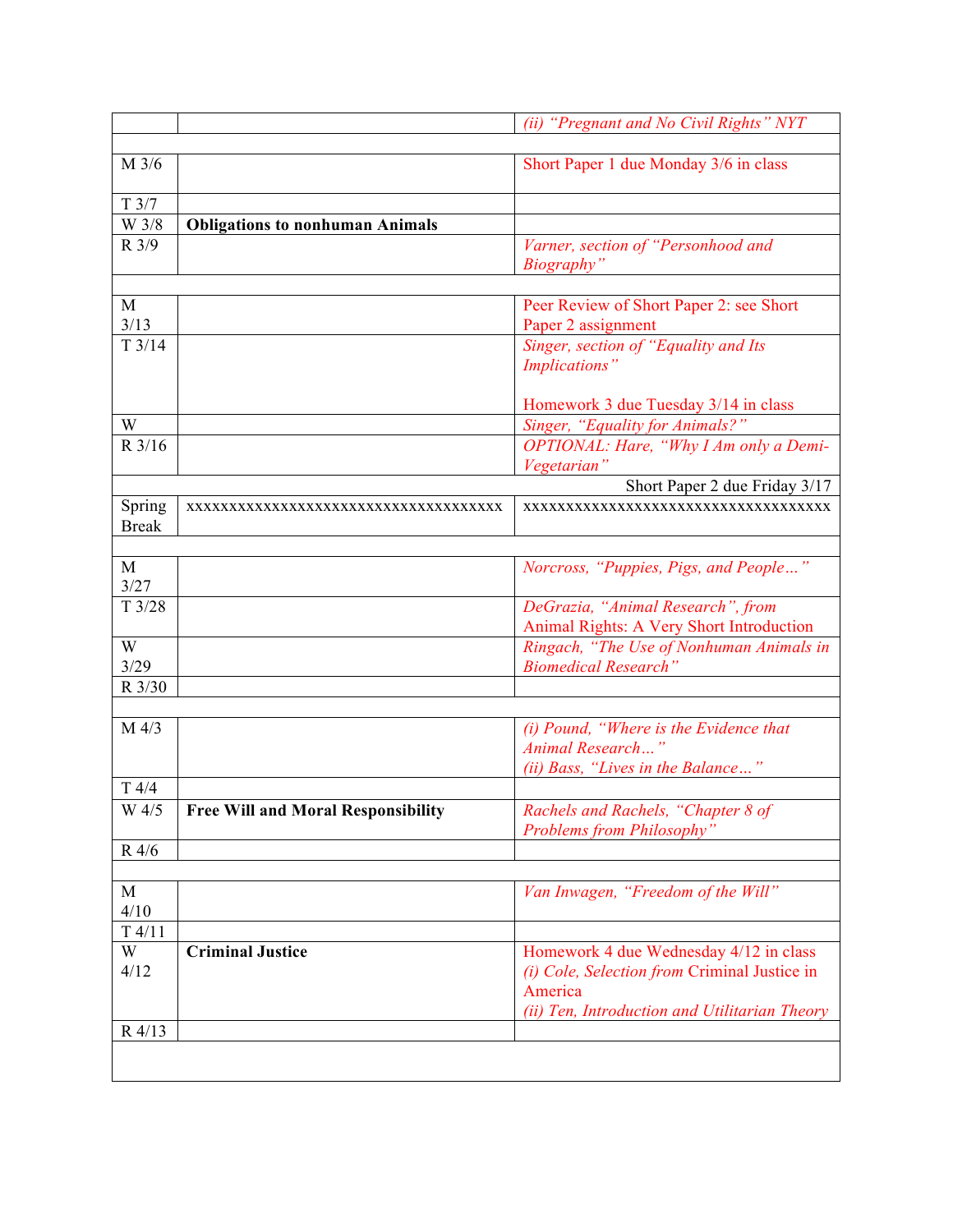|                        |                                           | (ii) "Pregnant and No Civil Rights" NYT                                                                                                            |
|------------------------|-------------------------------------------|----------------------------------------------------------------------------------------------------------------------------------------------------|
|                        |                                           |                                                                                                                                                    |
| M 3/6                  |                                           | Short Paper 1 due Monday 3/6 in class                                                                                                              |
| T3/7                   |                                           |                                                                                                                                                    |
| W 3/8                  | <b>Obligations to nonhuman Animals</b>    |                                                                                                                                                    |
| $R \frac{3}{9}$        |                                           | Varner, section of "Personhood and<br>Biography"                                                                                                   |
|                        |                                           |                                                                                                                                                    |
| $\mathbf{M}$<br>3/13   |                                           | Peer Review of Short Paper 2: see Short<br>Paper 2 assignment                                                                                      |
| T3/14                  |                                           | Singer, section of "Equality and Its<br>Implications"                                                                                              |
|                        |                                           | Homework 3 due Tuesday 3/14 in class                                                                                                               |
| W                      |                                           | Singer, "Equality for Animals?"                                                                                                                    |
| $R$ 3/16               |                                           | OPTIONAL: Hare, "Why I Am only a Demi-<br>Vegetarian'                                                                                              |
|                        |                                           | Short Paper 2 due Friday 3/17                                                                                                                      |
| Spring<br><b>Break</b> | XXXXXXXXXXXXXXXXXXXXXXXXXXXXXXXXXXXXX     | XXXXXXXXXXXXXXXXXXXXXXXXXXXXXXXXXXXXX                                                                                                              |
|                        |                                           |                                                                                                                                                    |
| M<br>3/27              |                                           | Norcross, "Puppies, Pigs, and People"                                                                                                              |
| T3/28                  |                                           | DeGrazia, "Animal Research", from<br>Animal Rights: A Very Short Introduction                                                                      |
| W<br>3/29              |                                           | Ringach, "The Use of Nonhuman Animals in<br><b>Biomedical Research'</b>                                                                            |
| R 3/30                 |                                           |                                                                                                                                                    |
| M 4/3                  |                                           | (i) Pound, "Where is the Evidence that<br>Animal Research'<br>(ii) Bass, "Lives in the Balance"                                                    |
| T4/4                   |                                           |                                                                                                                                                    |
| W 4/5                  | <b>Free Will and Moral Responsibility</b> | Rachels and Rachels, "Chapter 8 of<br><b>Problems from Philosophy"</b>                                                                             |
| R 4/6                  |                                           |                                                                                                                                                    |
|                        |                                           |                                                                                                                                                    |
| $\mathbf M$<br>4/10    |                                           | Van Inwagen, "Freedom of the Will"                                                                                                                 |
| T4/11                  |                                           |                                                                                                                                                    |
| W<br>4/12              | <b>Criminal Justice</b>                   | Homework 4 due Wednesday 4/12 in class<br>(i) Cole, Selection from Criminal Justice in<br>America<br>(ii) Ten, Introduction and Utilitarian Theory |
| R 4/13                 |                                           |                                                                                                                                                    |
|                        |                                           |                                                                                                                                                    |